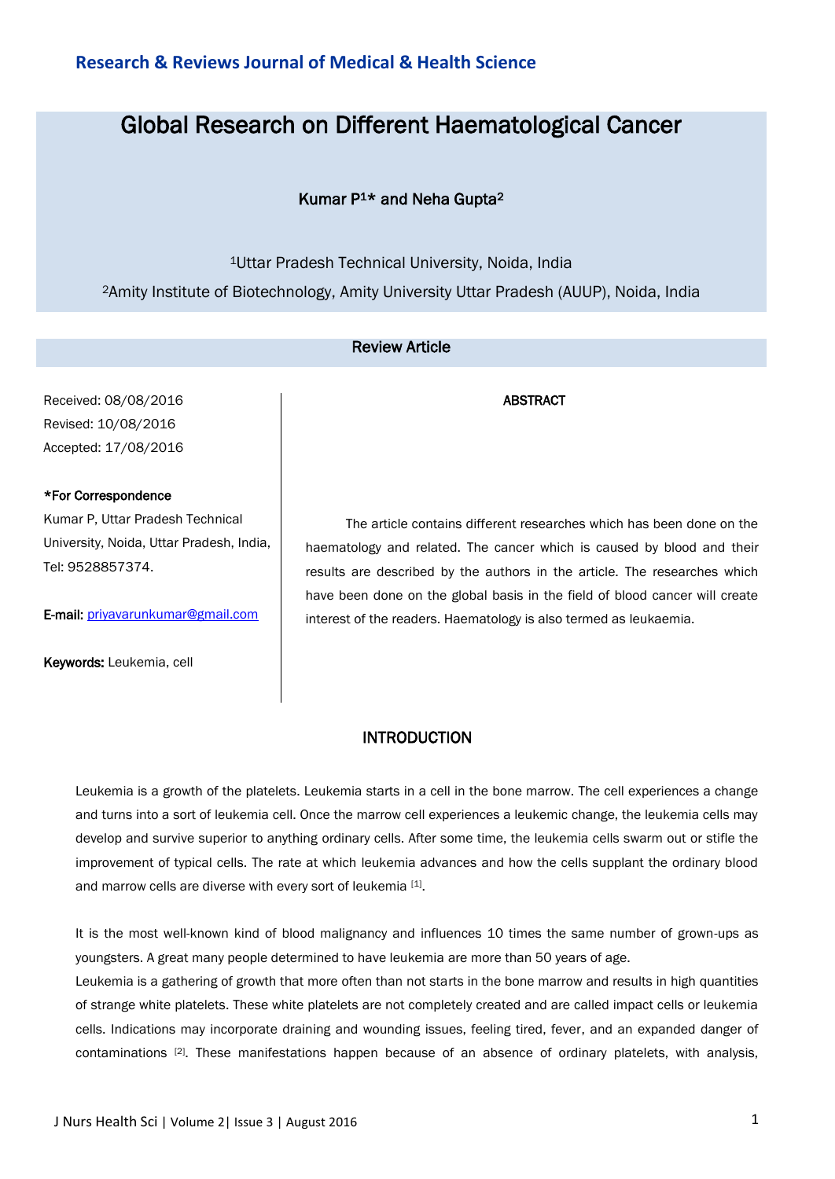# Global Research on Different Haematological Cancer

# Kumar P1\* and Neha Gupta<sup>2</sup>

<sup>1</sup>Uttar Pradesh Technical University, Noida, India <sup>2</sup>Amity Institute of Biotechnology, Amity University Uttar Pradesh (AUUP), Noida, India

# Review Article

Received: 08/08/2016 Revised: 10/08/2016 Accepted: 17/08/2016

## \*For Correspondence

Kumar P, Uttar Pradesh Technical University, Noida, Uttar Pradesh, India, Tel: 9528857374.

E-mail: [priyavarunkumar@gmail.com](mailto:priyavarunkumar@gmail.com)

Keywords: Leukemia, cell

The article contains different researches which has been done on the haematology and related. The cancer which is caused by blood and their results are described by the authors in the article. The researches which have been done on the global basis in the field of blood cancer will create interest of the readers. Haematology is also termed as leukaemia.

ABSTRACT

## **INTRODUCTION**

Leukemia is a growth of the platelets. Leukemia starts in a cell in the bone marrow. The cell experiences a change and turns into a sort of leukemia cell. Once the marrow cell experiences a leukemic change, the leukemia cells may develop and survive superior to anything ordinary cells. After some time, the leukemia cells swarm out or stifle the improvement of typical cells. The rate at which leukemia advances and how the cells supplant the ordinary blood and marrow cells are diverse with every sort of leukemia [1].

It is the most well-known kind of blood malignancy and influences 10 times the same number of grown-ups as youngsters. A great many people determined to have leukemia are more than 50 years of age.

Leukemia is a gathering of growth that more often than not starts in the bone marrow and results in high quantities of strange white platelets. These white platelets are not completely created and are called impact cells or leukemia cells. Indications may incorporate draining and wounding issues, feeling tired, fever, and an expanded danger of contaminations [2]. These manifestations happen because of an absence of ordinary platelets, with analysis,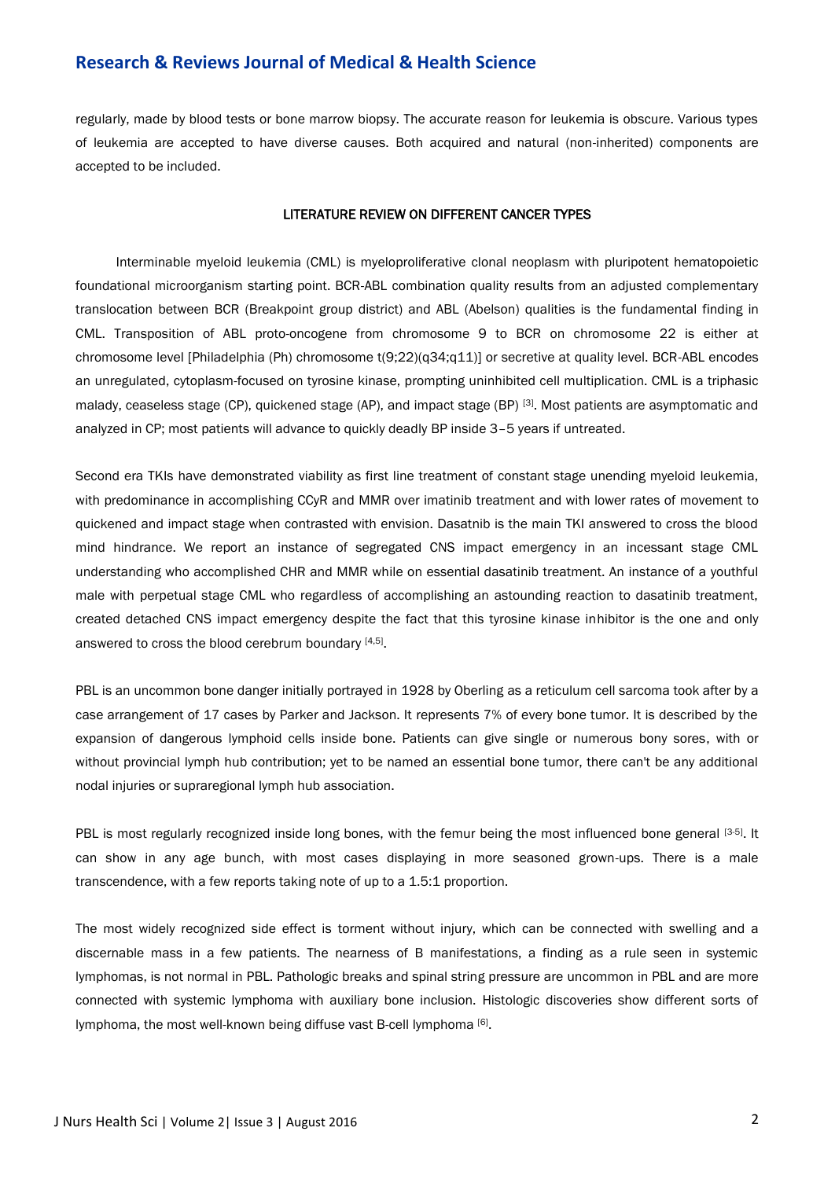regularly, made by blood tests or bone marrow biopsy. The accurate reason for leukemia is obscure. Various types of leukemia are accepted to have diverse causes. Both acquired and natural (non-inherited) components are accepted to be included.

#### LITERATURE REVIEW ON DIFFERENT CANCER TYPES

Interminable myeloid leukemia (CML) is myeloproliferative clonal neoplasm with pluripotent hematopoietic foundational microorganism starting point. BCR-ABL combination quality results from an adjusted complementary translocation between BCR (Breakpoint group district) and ABL (Abelson) qualities is the fundamental finding in CML. Transposition of ABL proto-oncogene from chromosome 9 to BCR on chromosome 22 is either at chromosome level [Philadelphia (Ph) chromosome t(9;22)(q34;q11)] or secretive at quality level. BCR-ABL encodes an unregulated, cytoplasm-focused on tyrosine kinase, prompting uninhibited cell multiplication. CML is a triphasic malady, ceaseless stage (CP), quickened stage (AP), and impact stage (BP) [3]. Most patients are asymptomatic and analyzed in CP; most patients will advance to quickly deadly BP inside 3–5 years if untreated.

Second era TKIs have demonstrated viability as first line treatment of constant stage unending myeloid leukemia, with predominance in accomplishing CCyR and MMR over imatinib treatment and with lower rates of movement to quickened and impact stage when contrasted with envision. Dasatnib is the main TKI answered to cross the blood mind hindrance. We report an instance of segregated CNS impact emergency in an incessant stage CML understanding who accomplished CHR and MMR while on essential dasatinib treatment. An instance of a youthful male with perpetual stage CML who regardless of accomplishing an astounding reaction to dasatinib treatment, created detached CNS impact emergency despite the fact that this tyrosine kinase inhibitor is the one and only answered to cross the blood cerebrum boundary [4,5].

PBL is an uncommon bone danger initially portrayed in 1928 by Oberling as a reticulum cell sarcoma took after by a case arrangement of 17 cases by Parker and Jackson. It represents 7% of every bone tumor. It is described by the expansion of dangerous lymphoid cells inside bone. Patients can give single or numerous bony sores, with or without provincial lymph hub contribution; yet to be named an essential bone tumor, there can't be any additional nodal injuries or supraregional lymph hub association.

PBL is most regularly recognized inside long bones, with the femur being the most influenced bone general [3-5]. It can show in any age bunch, with most cases displaying in more seasoned grown-ups. There is a male transcendence, with a few reports taking note of up to a 1.5:1 proportion.

The most widely recognized side effect is torment without injury, which can be connected with swelling and a discernable mass in a few patients. The nearness of B manifestations, a finding as a rule seen in systemic lymphomas, is not normal in PBL. Pathologic breaks and spinal string pressure are uncommon in PBL and are more connected with systemic lymphoma with auxiliary bone inclusion. Histologic discoveries show different sorts of lymphoma, the most well-known being diffuse vast B-cell lymphoma [6].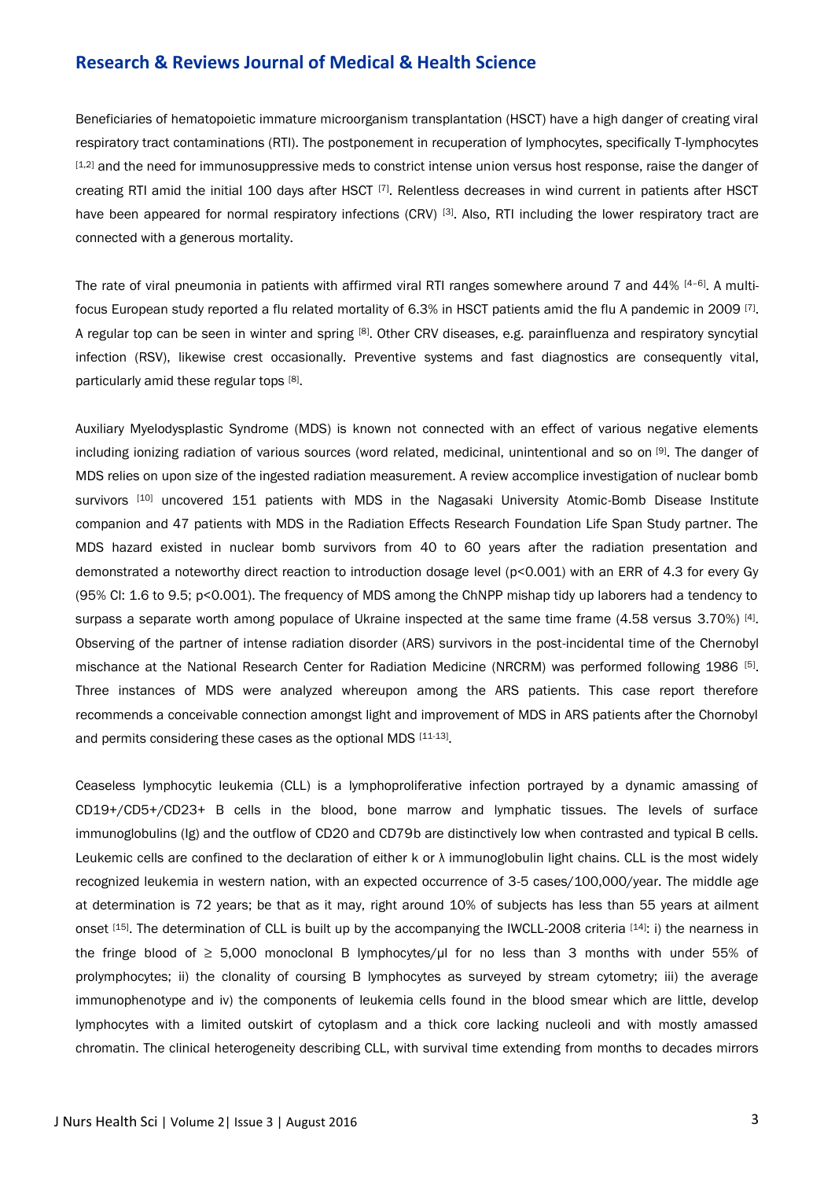Beneficiaries of hematopoietic immature microorganism transplantation (HSCT) have a high danger of creating viral respiratory tract contaminations (RTI). The postponement in recuperation of lymphocytes, specifically T-lymphocytes [1,2] and the need for immunosuppressive meds to constrict intense union versus host response, raise the danger of creating RTI amid the initial 100 days after HSCT [7]. Relentless decreases in wind current in patients after HSCT have been appeared for normal respiratory infections (CRV) [3]. Also, RTI including the lower respiratory tract are connected with a generous mortality.

The rate of viral pneumonia in patients with affirmed viral RTI ranges somewhere around 7 and 44%  $[4-6]$ . A multifocus European study reported a flu related mortality of 6.3% in HSCT patients amid the flu A pandemic in 2009 [7]. A regular top can be seen in winter and spring [8]. Other CRV diseases, e.g. parainfluenza and respiratory syncytial infection (RSV), likewise crest occasionally. Preventive systems and fast diagnostics are consequently vital, particularly amid these regular tops [8].

Auxiliary Myelodysplastic Syndrome (MDS) is known not connected with an effect of various negative elements including ionizing radiation of various sources (word related, medicinal, unintentional and so on [9]. The danger of MDS relies on upon size of the ingested radiation measurement. A review accomplice investigation of nuclear bomb survivors [10] uncovered 151 patients with MDS in the Nagasaki University Atomic-Bomb Disease Institute companion and 47 patients with MDS in the Radiation Effects Research Foundation Life Span Study partner. The MDS hazard existed in nuclear bomb survivors from 40 to 60 years after the radiation presentation and demonstrated a noteworthy direct reaction to introduction dosage level (p<0.001) with an ERR of 4.3 for every Gy (95% CI: 1.6 to 9.5; p<0.001). The frequency of MDS among the ChNPP mishap tidy up laborers had a tendency to surpass a separate worth among populace of Ukraine inspected at the same time frame  $(4.58$  versus  $3.70\%$  [4]. Observing of the partner of intense radiation disorder (ARS) survivors in the post-incidental time of the Chernobyl mischance at the National Research Center for Radiation Medicine (NRCRM) was performed following 1986 [5]. Three instances of MDS were analyzed whereupon among the ARS patients. This case report therefore recommends a conceivable connection amongst light and improvement of MDS in ARS patients after the Chornobyl and permits considering these cases as the optional MDS [11-13].

Ceaseless lymphocytic leukemia (CLL) is a lymphoproliferative infection portrayed by a dynamic amassing of CD19+/CD5+/CD23+ B cells in the blood, bone marrow and lymphatic tissues. The levels of surface immunoglobulins (Ig) and the outflow of CD20 and CD79b are distinctively low when contrasted and typical B cells. Leukemic cells are confined to the declaration of either k or  $\lambda$  immunoglobulin light chains. CLL is the most widely recognized leukemia in western nation, with an expected occurrence of 3-5 cases/100,000/year. The middle age at determination is 72 years; be that as it may, right around 10% of subjects has less than 55 years at ailment onset [15]. The determination of CLL is built up by the accompanying the IWCLL-2008 criteria [14]: i) the nearness in the fringe blood of ≥ 5,000 monoclonal B lymphocytes/μl for no less than 3 months with under 55% of prolymphocytes; ii) the clonality of coursing B lymphocytes as surveyed by stream cytometry; iii) the average immunophenotype and iv) the components of leukemia cells found in the blood smear which are little, develop lymphocytes with a limited outskirt of cytoplasm and a thick core lacking nucleoli and with mostly amassed chromatin. The clinical heterogeneity describing CLL, with survival time extending from months to decades mirrors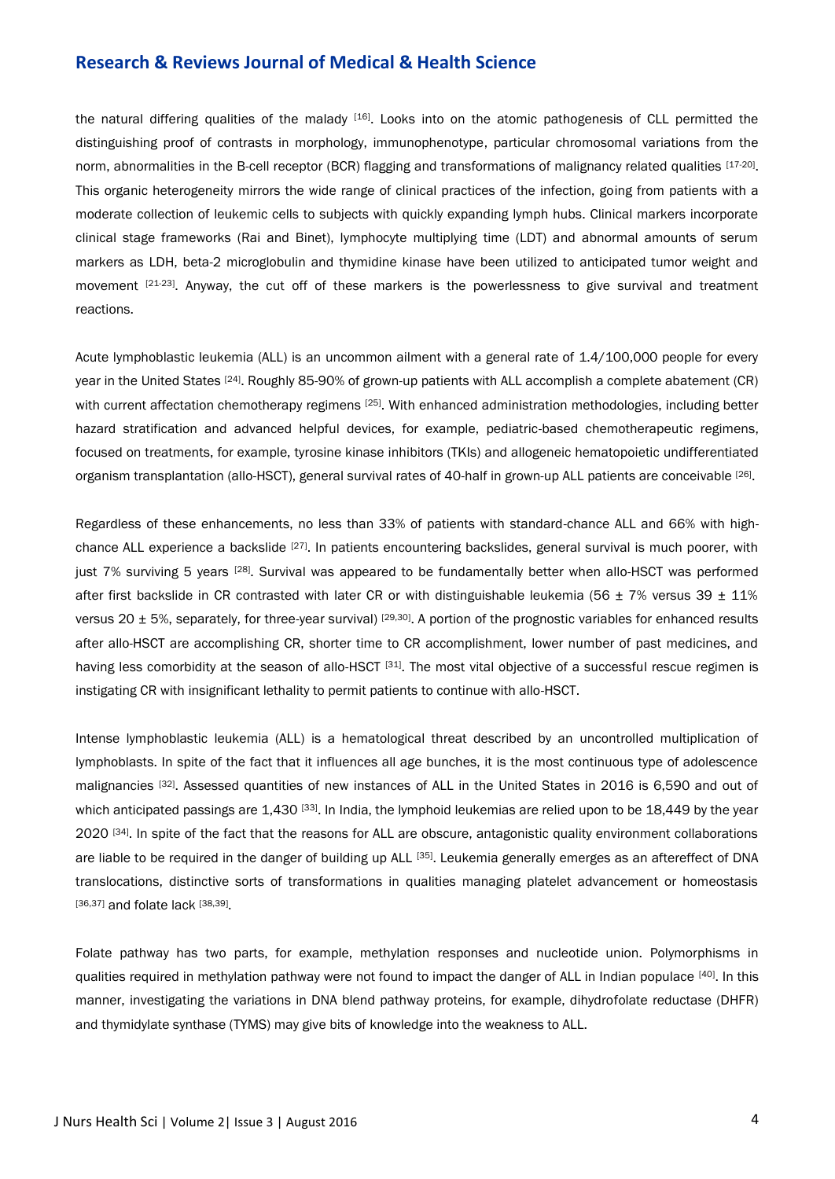the natural differing qualities of the malady [16]. Looks into on the atomic pathogenesis of CLL permitted the distinguishing proof of contrasts in morphology, immunophenotype, particular chromosomal variations from the norm, abnormalities in the B-cell receptor (BCR) flagging and transformations of malignancy related qualities [17-20]. This organic heterogeneity mirrors the wide range of clinical practices of the infection, going from patients with a moderate collection of leukemic cells to subjects with quickly expanding lymph hubs. Clinical markers incorporate clinical stage frameworks (Rai and Binet), lymphocyte multiplying time (LDT) and abnormal amounts of serum markers as LDH, beta-2 microglobulin and thymidine kinase have been utilized to anticipated tumor weight and movement  $[21-23]$ . Anyway, the cut off of these markers is the powerlessness to give survival and treatment reactions.

Acute lymphoblastic leukemia (ALL) is an uncommon ailment with a general rate of 1.4/100,000 people for every year in the United States [24]. Roughly 85-90% of grown-up patients with ALL accomplish a complete abatement (CR) with current affectation chemotherapy regimens <sup>[25]</sup>. With enhanced administration methodologies, including better hazard stratification and advanced helpful devices, for example, pediatric-based chemotherapeutic regimens, focused on treatments, for example, tyrosine kinase inhibitors (TKIs) and allogeneic hematopoietic undifferentiated organism transplantation (allo-HSCT), general survival rates of 40-half in grown-up ALL patients are conceivable [26].

Regardless of these enhancements, no less than 33% of patients with standard-chance ALL and 66% with highchance ALL experience a backslide <sup>[27]</sup>. In patients encountering backslides, general survival is much poorer, with just 7% surviving 5 years [28]. Survival was appeared to be fundamentally better when allo-HSCT was performed after first backslide in CR contrasted with later CR or with distinguishable leukemia (56  $\pm$  7% versus 39  $\pm$  11% versus 20  $\pm$  5%, separately, for three-year survival)  $^{[29,30]}$ . A portion of the prognostic variables for enhanced results after allo-HSCT are accomplishing CR, shorter time to CR accomplishment, lower number of past medicines, and having less comorbidity at the season of allo-HSCT [31]. The most vital objective of a successful rescue regimen is instigating CR with insignificant lethality to permit patients to continue with allo-HSCT.

Intense lymphoblastic leukemia (ALL) is a hematological threat described by an uncontrolled multiplication of lymphoblasts. In spite of the fact that it influences all age bunches, it is the most continuous type of adolescence malignancies [32]. Assessed quantities of new instances of ALL in the United States in 2016 is 6,590 and out of which anticipated passings are 1,430 [33]. In India, the lymphoid leukemias are relied upon to be 18,449 by the year 2020 [34]. In spite of the fact that the reasons for ALL are obscure, antagonistic quality environment collaborations are liable to be required in the danger of building up ALL [35]. Leukemia generally emerges as an aftereffect of DNA translocations, distinctive sorts of transformations in qualities managing platelet advancement or homeostasis [36,37] and folate lack [38,39].

Folate pathway has two parts, for example, methylation responses and nucleotide union. Polymorphisms in qualities required in methylation pathway were not found to impact the danger of ALL in Indian populace [40]. In this manner, investigating the variations in DNA blend pathway proteins, for example, dihydrofolate reductase (DHFR) and thymidylate synthase (TYMS) may give bits of knowledge into the weakness to ALL.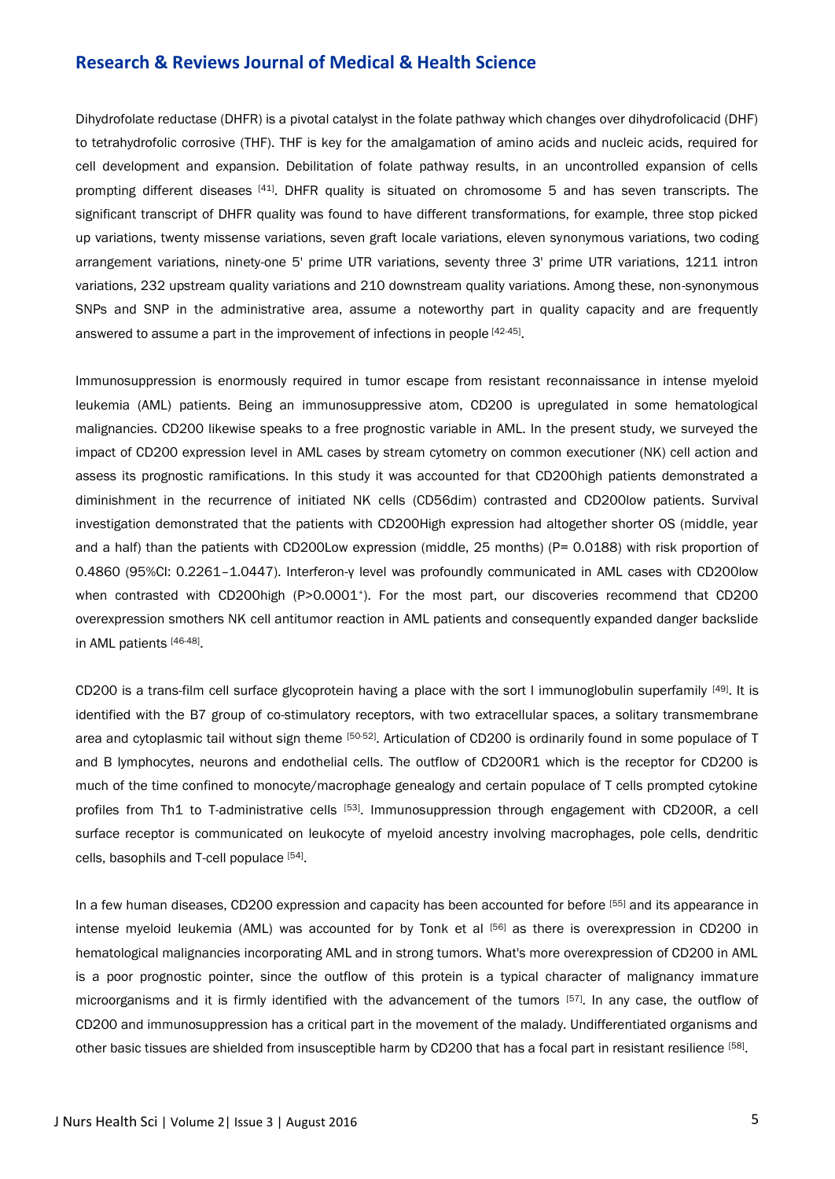Dihydrofolate reductase (DHFR) is a pivotal catalyst in the folate pathway which changes over dihydrofolicacid (DHF) to tetrahydrofolic corrosive (THF). THF is key for the amalgamation of amino acids and nucleic acids, required for cell development and expansion. Debilitation of folate pathway results, in an uncontrolled expansion of cells prompting different diseases [41]. DHFR quality is situated on chromosome 5 and has seven transcripts. The significant transcript of DHFR quality was found to have different transformations, for example, three stop picked up variations, twenty missense variations, seven graft locale variations, eleven synonymous variations, two coding arrangement variations, ninety-one 5' prime UTR variations, seventy three 3' prime UTR variations, 1211 intron variations, 232 upstream quality variations and 210 downstream quality variations. Among these, non-synonymous SNPs and SNP in the administrative area, assume a noteworthy part in quality capacity and are frequently answered to assume a part in the improvement of infections in people [42-45].

Immunosuppression is enormously required in tumor escape from resistant reconnaissance in intense myeloid leukemia (AML) patients. Being an immunosuppressive atom, CD200 is upregulated in some hematological malignancies. CD200 likewise speaks to a free prognostic variable in AML. In the present study, we surveyed the impact of CD200 expression level in AML cases by stream cytometry on common executioner (NK) cell action and assess its prognostic ramifications. In this study it was accounted for that CD200high patients demonstrated a diminishment in the recurrence of initiated NK cells (CD56dim) contrasted and CD200low patients. Survival investigation demonstrated that the patients with CD200High expression had altogether shorter OS (middle, year and a half) than the patients with CD200Low expression (middle, 25 months) (P= 0.0188) with risk proportion of 0.4860 (95%CI: 0.2261–1.0447). Interferon-γ level was profoundly communicated in AML cases with CD200low when contrasted with CD200high (P>0.0001<sup>\*</sup>). For the most part, our discoveries recommend that CD200 overexpression smothers NK cell antitumor reaction in AML patients and consequently expanded danger backslide in AML patients [46-48].

CD200 is a trans-film cell surface glycoprotein having a place with the sort I immunoglobulin superfamily [49]. It is identified with the B7 group of co-stimulatory receptors, with two extracellular spaces, a solitary transmembrane area and cytoplasmic tail without sign theme [50-52]. Articulation of CD200 is ordinarily found in some populace of T and B lymphocytes, neurons and endothelial cells. The outflow of CD200R1 which is the receptor for CD200 is much of the time confined to monocyte/macrophage genealogy and certain populace of T cells prompted cytokine profiles from Th1 to T-administrative cells [53]. Immunosuppression through engagement with CD200R, a cell surface receptor is communicated on leukocyte of myeloid ancestry involving macrophages, pole cells, dendritic cells, basophils and T-cell populace [54].

In a few human diseases, CD200 expression and capacity has been accounted for before [55] and its appearance in intense myeloid leukemia (AML) was accounted for by Tonk et al [56] as there is overexpression in CD200 in hematological malignancies incorporating AML and in strong tumors. What's more overexpression of CD200 in AML is a poor prognostic pointer, since the outflow of this protein is a typical character of malignancy immature microorganisms and it is firmly identified with the advancement of the tumors [57]. In any case, the outflow of CD200 and immunosuppression has a critical part in the movement of the malady. Undifferentiated organisms and other basic tissues are shielded from insusceptible harm by CD200 that has a focal part in resistant resilience [58].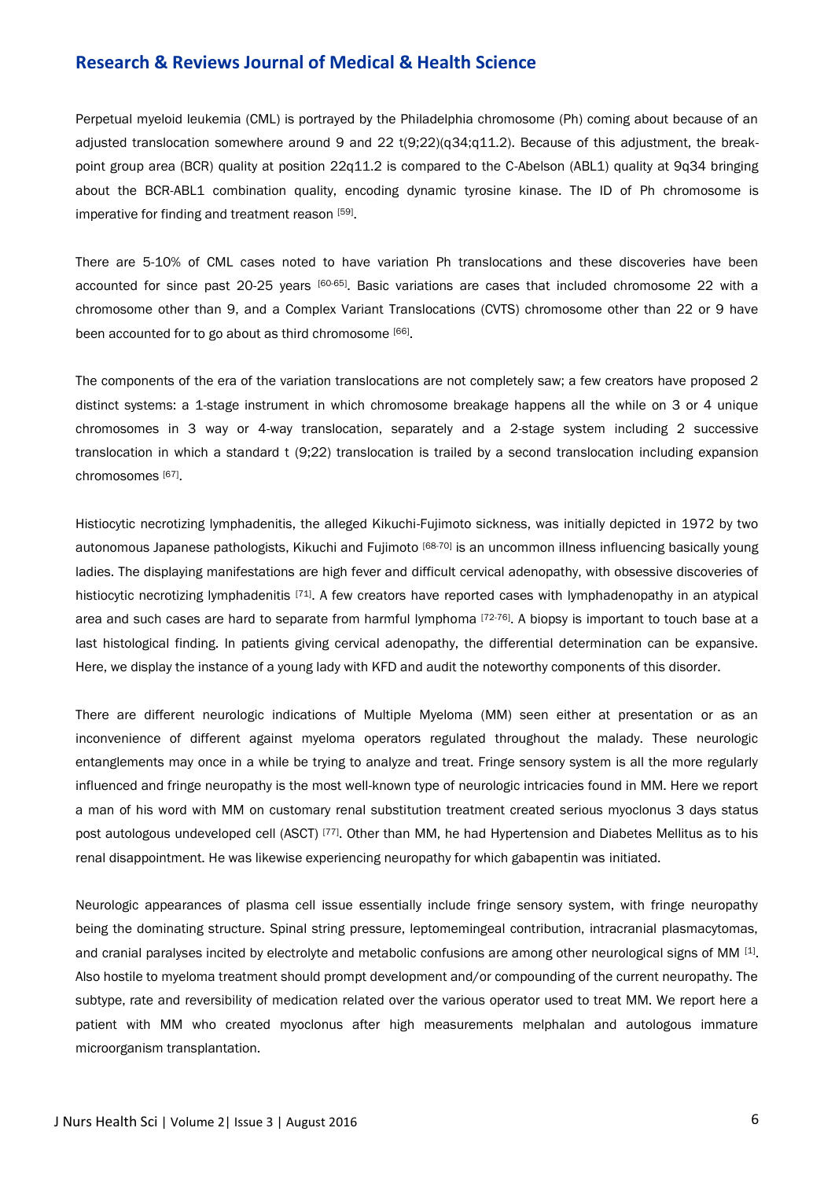Perpetual myeloid leukemia (CML) is portrayed by the Philadelphia chromosome (Ph) coming about because of an adjusted translocation somewhere around 9 and 22 t(9;22)(q34;q11.2). Because of this adjustment, the breakpoint group area (BCR) quality at position 22q11.2 is compared to the C-Abelson (ABL1) quality at 9q34 bringing about the BCR-ABL1 combination quality, encoding dynamic tyrosine kinase. The ID of Ph chromosome is imperative for finding and treatment reason [59].

There are 5-10% of CML cases noted to have variation Ph translocations and these discoveries have been accounted for since past 20-25 years [60-65]. Basic variations are cases that included chromosome 22 with a chromosome other than 9, and a Complex Variant Translocations (CVTS) chromosome other than 22 or 9 have been accounted for to go about as third chromosome [66].

The components of the era of the variation translocations are not completely saw; a few creators have proposed 2 distinct systems: a 1-stage instrument in which chromosome breakage happens all the while on 3 or 4 unique chromosomes in 3 way or 4-way translocation, separately and a 2-stage system including 2 successive translocation in which a standard t (9;22) translocation is trailed by a second translocation including expansion chromosomes [67] .

Histiocytic necrotizing lymphadenitis, the alleged Kikuchi-Fujimoto sickness, was initially depicted in 1972 by two autonomous Japanese pathologists, Kikuchi and Fujimoto <sup>[68-70]</sup> is an uncommon illness influencing basically young ladies. The displaying manifestations are high fever and difficult cervical adenopathy, with obsessive discoveries of histiocytic necrotizing lymphadenitis <sup>[71]</sup>. A few creators have reported cases with lymphadenopathy in an atypical area and such cases are hard to separate from harmful lymphoma [72-76]. A biopsy is important to touch base at a last histological finding. In patients giving cervical adenopathy, the differential determination can be expansive. Here, we display the instance of a young lady with KFD and audit the noteworthy components of this disorder.

There are different neurologic indications of Multiple Myeloma (MM) seen either at presentation or as an inconvenience of different against myeloma operators regulated throughout the malady. These neurologic entanglements may once in a while be trying to analyze and treat. Fringe sensory system is all the more regularly influenced and fringe neuropathy is the most well-known type of neurologic intricacies found in MM. Here we report a man of his word with MM on customary renal substitution treatment created serious myoclonus 3 days status post autologous undeveloped cell (ASCT) [77]. Other than MM, he had Hypertension and Diabetes Mellitus as to his renal disappointment. He was likewise experiencing neuropathy for which gabapentin was initiated.

Neurologic appearances of plasma cell issue essentially include fringe sensory system, with fringe neuropathy being the dominating structure. Spinal string pressure, leptomemingeal contribution, intracranial plasmacytomas, and cranial paralyses incited by electrolyte and metabolic confusions are among other neurological signs of MM [1]. Also hostile to myeloma treatment should prompt development and/or compounding of the current neuropathy. The subtype, rate and reversibility of medication related over the various operator used to treat MM. We report here a patient with MM who created myoclonus after high measurements melphalan and autologous immature microorganism transplantation.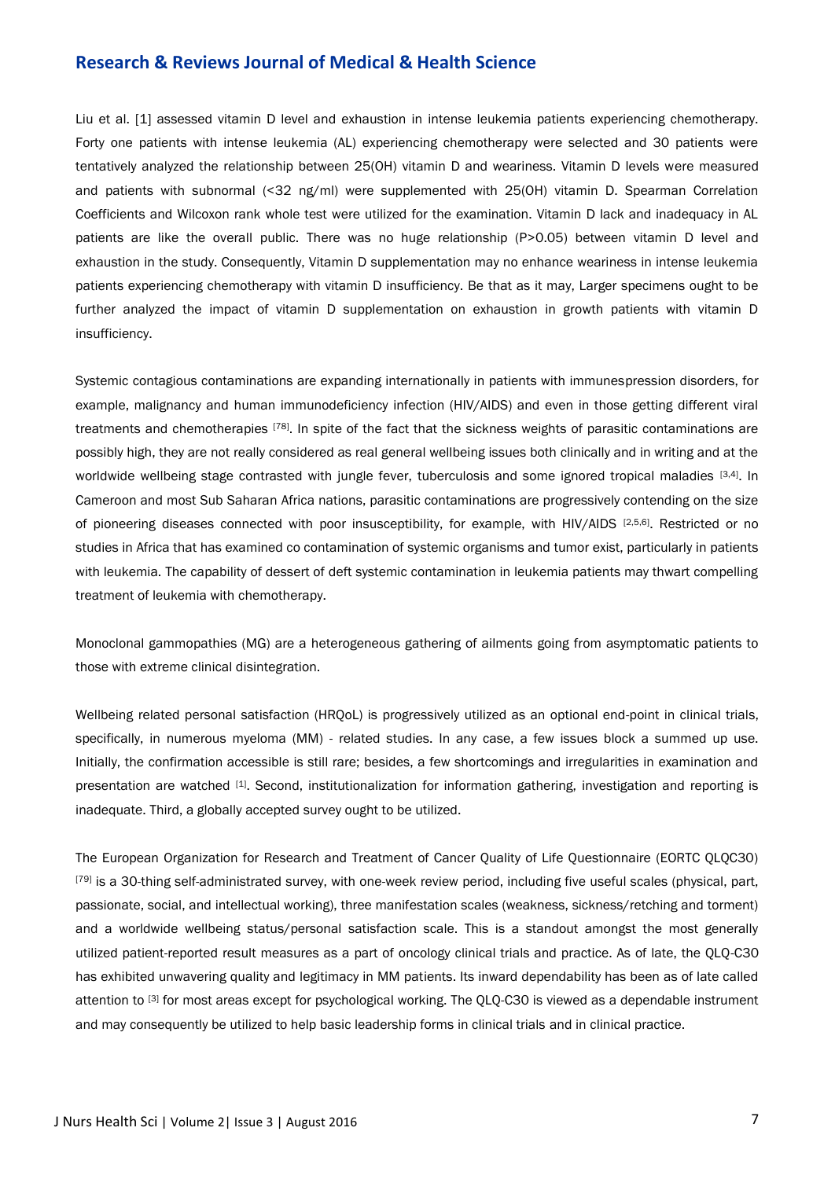Liu et al. [1] assessed vitamin D level and exhaustion in intense leukemia patients experiencing chemotherapy. Forty one patients with intense leukemia (AL) experiencing chemotherapy were selected and 30 patients were tentatively analyzed the relationship between 25(OH) vitamin D and weariness. Vitamin D levels were measured and patients with subnormal (<32 ng/ml) were supplemented with 25(OH) vitamin D. Spearman Correlation Coefficients and Wilcoxon rank whole test were utilized for the examination. Vitamin D lack and inadequacy in AL patients are like the overall public. There was no huge relationship (P>0.05) between vitamin D level and exhaustion in the study. Consequently, Vitamin D supplementation may no enhance weariness in intense leukemia patients experiencing chemotherapy with vitamin D insufficiency. Be that as it may, Larger specimens ought to be further analyzed the impact of vitamin D supplementation on exhaustion in growth patients with vitamin D insufficiency.

Systemic contagious contaminations are expanding internationally in patients with immunespression disorders, for example, malignancy and human immunodeficiency infection (HIV/AIDS) and even in those getting different viral treatments and chemotherapies [78]. In spite of the fact that the sickness weights of parasitic contaminations are possibly high, they are not really considered as real general wellbeing issues both clinically and in writing and at the worldwide wellbeing stage contrasted with jungle fever, tuberculosis and some ignored tropical maladies [3,4]. In Cameroon and most Sub Saharan Africa nations, parasitic contaminations are progressively contending on the size of pioneering diseases connected with poor insusceptibility, for example, with HIV/AIDS [2,5,6]. Restricted or no studies in Africa that has examined co contamination of systemic organisms and tumor exist, particularly in patients with leukemia. The capability of dessert of deft systemic contamination in leukemia patients may thwart compelling treatment of leukemia with chemotherapy.

Monoclonal gammopathies (MG) are a heterogeneous gathering of ailments going from asymptomatic patients to those with extreme clinical disintegration.

Wellbeing related personal satisfaction (HRQoL) is progressively utilized as an optional end-point in clinical trials, specifically, in numerous myeloma (MM) - related studies. In any case, a few issues block a summed up use. Initially, the confirmation accessible is still rare; besides, a few shortcomings and irregularities in examination and presentation are watched [1]. Second, institutionalization for information gathering, investigation and reporting is inadequate. Third, a globally accepted survey ought to be utilized.

The European Organization for Research and Treatment of Cancer Quality of Life Questionnaire (EORTC QLQC30) <sup>[79]</sup> is a 30-thing self-administrated survey, with one-week review period, including five useful scales (physical, part, passionate, social, and intellectual working), three manifestation scales (weakness, sickness/retching and torment) and a worldwide wellbeing status/personal satisfaction scale. This is a standout amongst the most generally utilized patient-reported result measures as a part of oncology clinical trials and practice. As of late, the QLQ-C30 has exhibited unwavering quality and legitimacy in MM patients. Its inward dependability has been as of late called attention to [3] for most areas except for psychological working. The QLQ-C30 is viewed as a dependable instrument and may consequently be utilized to help basic leadership forms in clinical trials and in clinical practice.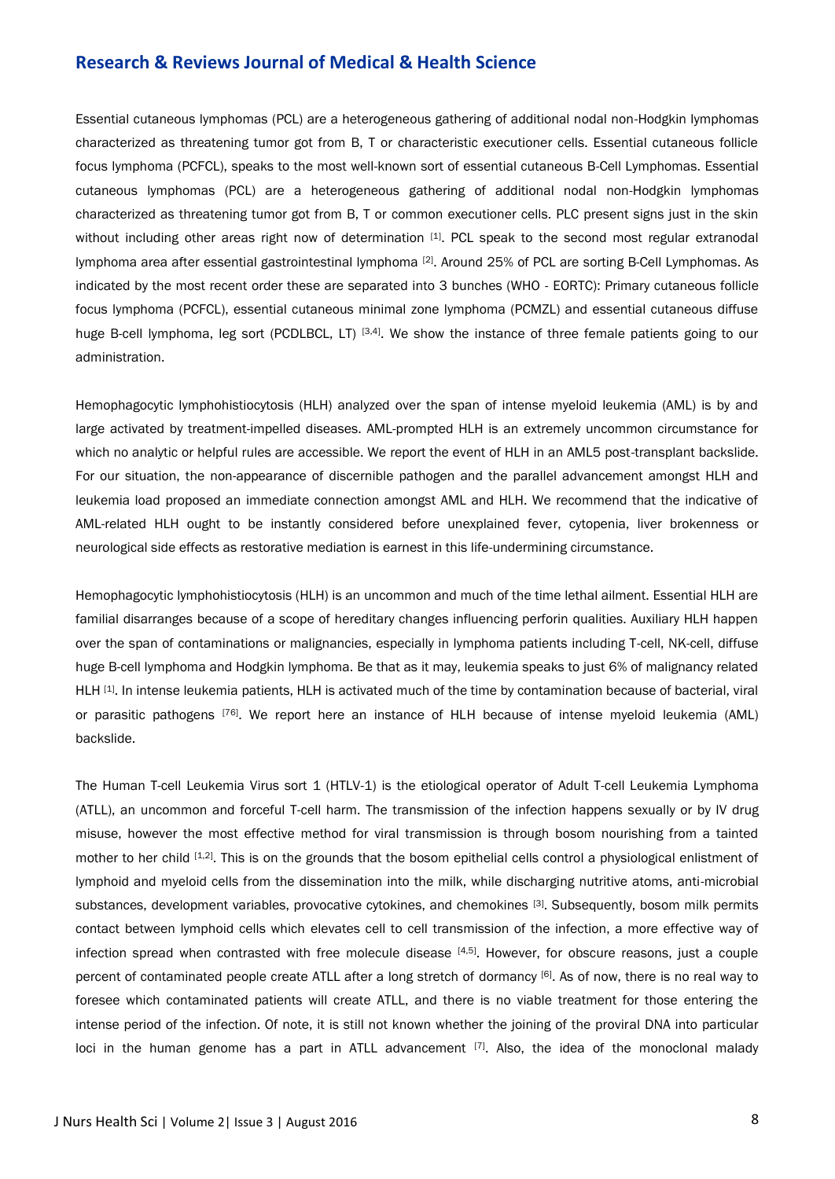Essential cutaneous lymphomas (PCL) are a heterogeneous gathering of additional nodal non-Hodgkin lymphomas characterized as threatening tumor got from B, T or characteristic executioner cells. Essential cutaneous follicle focus lymphoma (PCFCL), speaks to the most well-known sort of essential cutaneous B-Cell Lymphomas. Essential cutaneous lymphomas (PCL) are a heterogeneous gathering of additional nodal non-Hodgkin lymphomas characterized as threatening tumor got from B, T or common executioner cells. PLC present signs just in the skin without including other areas right now of determination [1]. PCL speak to the second most regular extranodal lymphoma area after essential gastrointestinal lymphoma [2]. Around 25% of PCL are sorting B-Cell Lymphomas. As indicated by the most recent order these are separated into 3 bunches (WHO - EORTC): Primary cutaneous follicle focus lymphoma (PCFCL), essential cutaneous minimal zone lymphoma (PCMZL) and essential cutaneous diffuse huge B-cell lymphoma, leg sort (PCDLBCL, LT) [3,4]. We show the instance of three female patients going to our administration.

Hemophagocytic lymphohistiocytosis (HLH) analyzed over the span of intense myeloid leukemia (AML) is by and large activated by treatment-impelled diseases. AML-prompted HLH is an extremely uncommon circumstance for which no analytic or helpful rules are accessible. We report the event of HLH in an AML5 post-transplant backslide. For our situation, the non-appearance of discernible pathogen and the parallel advancement amongst HLH and leukemia load proposed an immediate connection amongst AML and HLH. We recommend that the indicative of AML-related HLH ought to be instantly considered before unexplained fever, cytopenia, liver brokenness or neurological side effects as restorative mediation is earnest in this life-undermining circumstance.

Hemophagocytic lymphohistiocytosis (HLH) is an uncommon and much of the time lethal ailment. Essential HLH are familial disarranges because of a scope of hereditary changes influencing perforin qualities. Auxiliary HLH happen over the span of contaminations or malignancies, especially in lymphoma patients including T-cell, NK-cell, diffuse huge B-cell lymphoma and Hodgkin lymphoma. Be that as it may, leukemia speaks to just 6% of malignancy related HLH [1]. In intense leukemia patients, HLH is activated much of the time by contamination because of bacterial, viral or parasitic pathogens <sup>[76]</sup>. We report here an instance of HLH because of intense myeloid leukemia (AML) backslide.

The Human T-cell Leukemia Virus sort 1 (HTLV-1) is the etiological operator of Adult T-cell Leukemia Lymphoma (ATLL), an uncommon and forceful T-cell harm. The transmission of the infection happens sexually or by IV drug misuse, however the most effective method for viral transmission is through bosom nourishing from a tainted mother to her child [1,2]. This is on the grounds that the bosom epithelial cells control a physiological enlistment of lymphoid and myeloid cells from the dissemination into the milk, while discharging nutritive atoms, anti-microbial substances, development variables, provocative cytokines, and chemokines [3]. Subsequently, bosom milk permits contact between lymphoid cells which elevates cell to cell transmission of the infection, a more effective way of infection spread when contrasted with free molecule disease [4,5]. However, for obscure reasons, just a couple percent of contaminated people create ATLL after a long stretch of dormancy [6]. As of now, there is no real way to foresee which contaminated patients will create ATLL, and there is no viable treatment for those entering the intense period of the infection. Of note, it is still not known whether the joining of the proviral DNA into particular loci in the human genome has a part in ATLL advancement [7]. Also, the idea of the monoclonal malady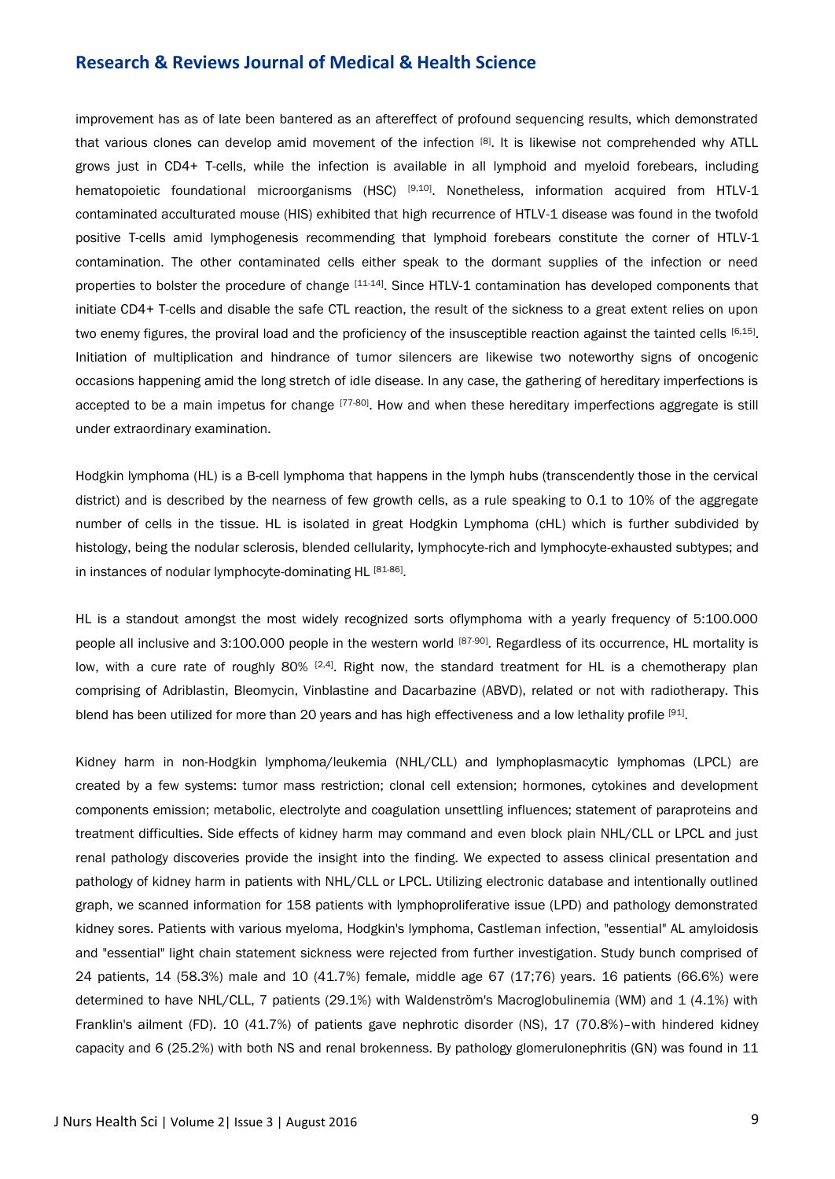improvement has as of late been bantered as an aftereffect of profound sequencing results, which demonstrated that various clones can develop amid movement of the infection [8]. It is likewise not comprehended why ATLL grows just in CD4+ T-cells, while the infection is available in all lymphoid and myeloid forebears, including hematopoietic foundational microorganisms (HSC) [9,10]. Nonetheless, information acquired from HTLV-1 contaminated acculturated mouse (HIS) exhibited that high recurrence of HTLV-1 disease was found in the twofold positive T-cells amid lymphogenesis recommending that lymphoid forebears constitute the corner of HTLV-1 contamination. The other contaminated cells either speak to the dormant supplies of the infection or need properties to bolster the procedure of change [11-14]. Since HTLV-1 contamination has developed components that initiate CD4+ T-cells and disable the safe CTL reaction, the result of the sickness to a great extent relies on upon two enemy figures, the proviral load and the proficiency of the insusceptible reaction against the tainted cells [6,15]. Initiation of multiplication and hindrance of tumor silencers are likewise two noteworthy signs of oncogenic occasions happening amid the long stretch of idle disease. In any case, the gathering of hereditary imperfections is accepted to be a main impetus for change [77-80]. How and when these hereditary imperfections aggregate is still under extraordinary examination.

Hodgkin lymphoma (HL) is a B-cell lymphoma that happens in the lymph hubs (transcendently those in the cervical district) and is described by the nearness of few growth cells, as a rule speaking to 0.1 to 10% of the aggregate number of cells in the tissue. HL is isolated in great Hodgkin Lymphoma (cHL) which is further subdivided by histology, being the nodular sclerosis, blended cellularity, lymphocyte-rich and lymphocyte-exhausted subtypes; and in instances of nodular lymphocyte-dominating HL [81-86].

HL is a standout amongst the most widely recognized sorts oflymphoma with a yearly frequency of 5:100.000 people all inclusive and 3:100.000 people in the western world [87-90]. Regardless of its occurrence, HL mortality is low, with a cure rate of roughly 80% <sup>[2,4]</sup>. Right now, the standard treatment for HL is a chemotherapy plan comprising of Adriblastin, Bleomycin, Vinblastine and Dacarbazine (ABVD), related or not with radiotherapy. This blend has been utilized for more than 20 years and has high effectiveness and a low lethality profile [91].

Kidney harm in non-Hodgkin lymphoma/leukemia (NHL/CLL) and lymphoplasmacytic lymphomas (LPCL) are created by a few systems: tumor mass restriction; clonal cell extension; hormones, cytokines and development components emission; metabolic, electrolyte and coagulation unsettling influences; statement of paraproteins and treatment difficulties. Side effects of kidney harm may command and even block plain NHL/CLL or LPCL and just renal pathology discoveries provide the insight into the finding. We expected to assess clinical presentation and pathology of kidney harm in patients with NHL/CLL or LPCL. Utilizing electronic database and intentionally outlined graph, we scanned information for 158 patients with lymphoproliferative issue (LPD) and pathology demonstrated kidney sores. Patients with various myeloma, Hodgkin's lymphoma, Castleman infection, "essential" AL amyloidosis and "essential" light chain statement sickness were rejected from further investigation. Study bunch comprised of 24 patients, 14 (58.3%) male and 10 (41.7%) female, middle age 67 (17;76) years. 16 patients (66.6%) were determined to have NHL/CLL, 7 patients (29.1%) with Waldenström's Macroglobulinemia (WM) and 1 (4.1%) with Franklin's ailment (FD). 10 (41.7%) of patients gave nephrotic disorder (NS), 17 (70.8%)–with hindered kidney capacity and 6 (25.2%) with both NS and renal brokenness. By pathology glomerulonephritis (GN) was found in 11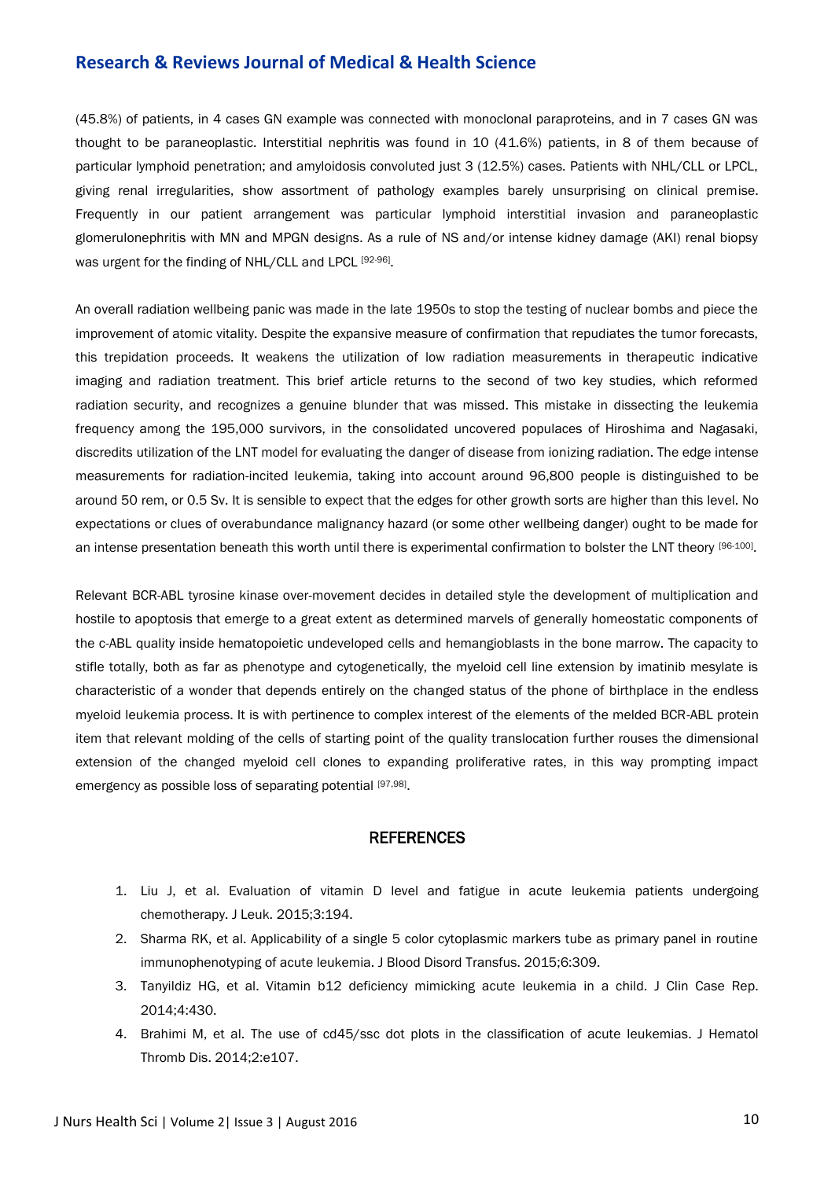(45.8%) of patients, in 4 cases GN example was connected with monoclonal paraproteins, and in 7 cases GN was thought to be paraneoplastic. Interstitial nephritis was found in 10 (41.6%) patients, in 8 of them because of particular lymphoid penetration; and amyloidosis convoluted just 3 (12.5%) cases. Patients with NHL/CLL or LPCL, giving renal irregularities, show assortment of pathology examples barely unsurprising on clinical premise. Frequently in our patient arrangement was particular lymphoid interstitial invasion and paraneoplastic glomerulonephritis with MN and MPGN designs. As a rule of NS and/or intense kidney damage (AKI) renal biopsy was urgent for the finding of NHL/CLL and LPCL [92-96].

An overall radiation wellbeing panic was made in the late 1950s to stop the testing of nuclear bombs and piece the improvement of atomic vitality. Despite the expansive measure of confirmation that repudiates the tumor forecasts, this trepidation proceeds. It weakens the utilization of low radiation measurements in therapeutic indicative imaging and radiation treatment. This brief article returns to the second of two key studies, which reformed radiation security, and recognizes a genuine blunder that was missed. This mistake in dissecting the leukemia frequency among the 195,000 survivors, in the consolidated uncovered populaces of Hiroshima and Nagasaki, discredits utilization of the LNT model for evaluating the danger of disease from ionizing radiation. The edge intense measurements for radiation-incited leukemia, taking into account around 96,800 people is distinguished to be around 50 rem, or 0.5 Sv. It is sensible to expect that the edges for other growth sorts are higher than this level. No expectations or clues of overabundance malignancy hazard (or some other wellbeing danger) ought to be made for an intense presentation beneath this worth until there is experimental confirmation to bolster the LNT theory [96-100].

Relevant BCR-ABL tyrosine kinase over-movement decides in detailed style the development of multiplication and hostile to apoptosis that emerge to a great extent as determined marvels of generally homeostatic components of the c-ABL quality inside hematopoietic undeveloped cells and hemangioblasts in the bone marrow. The capacity to stifle totally, both as far as phenotype and cytogenetically, the myeloid cell line extension by imatinib mesylate is characteristic of a wonder that depends entirely on the changed status of the phone of birthplace in the endless myeloid leukemia process. It is with pertinence to complex interest of the elements of the melded BCR-ABL protein item that relevant molding of the cells of starting point of the quality translocation further rouses the dimensional extension of the changed myeloid cell clones to expanding proliferative rates, in this way prompting impact emergency as possible loss of separating potential [97,98].

#### **REFERENCES**

- 1. Liu J, et al. Evaluation of vitamin D level and fatigue in acute leukemia patients undergoing chemotherapy. J Leuk. 2015;3:194.
- 2. Sharma RK, et al. Applicability of a single 5 color cytoplasmic markers tube as primary panel in routine immunophenotyping of acute leukemia. J Blood Disord Transfus. 2015;6:309.
- 3. Tanyildiz HG, et al. Vitamin b12 deficiency mimicking acute leukemia in a child. J Clin Case Rep. 2014;4:430.
- 4. Brahimi M, et al. The use of cd45/ssc dot plots in the classification of acute leukemias. J Hematol Thromb Dis. 2014;2:e107.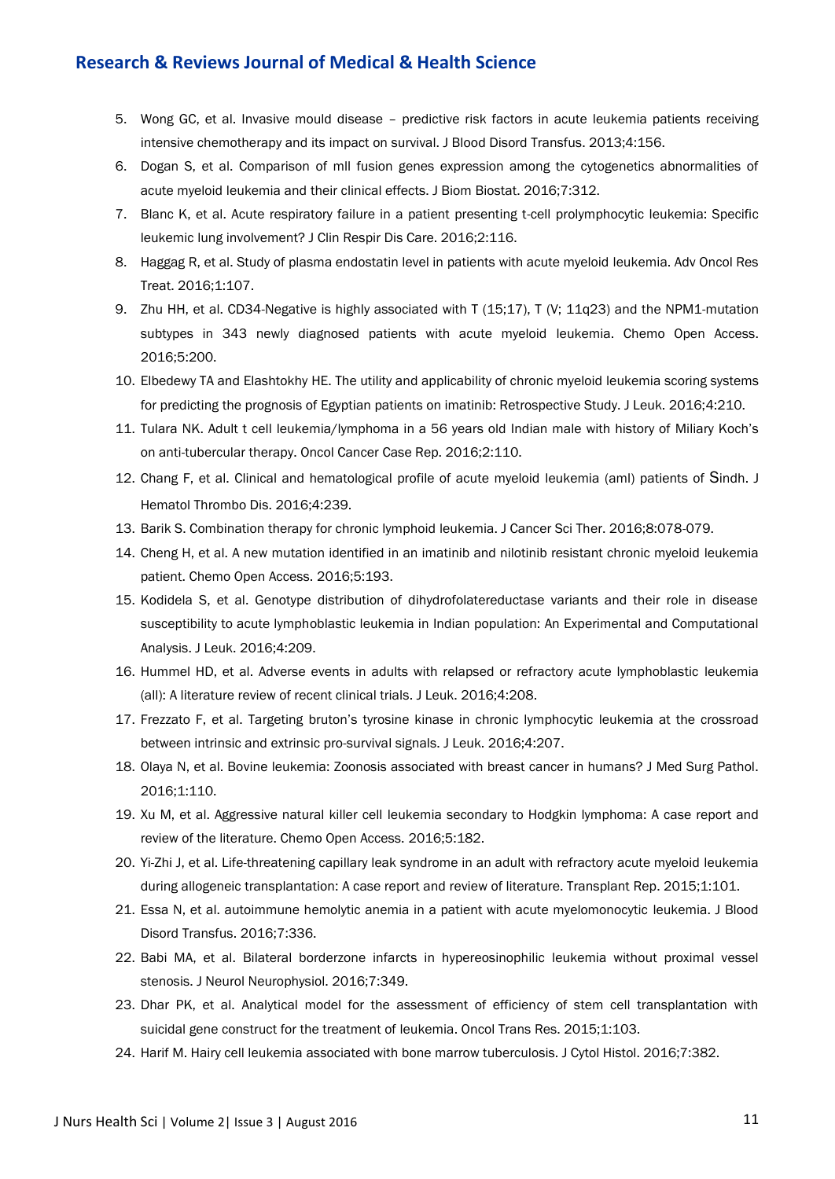- 5. Wong GC, et al. Invasive mould disease predictive risk factors in acute leukemia patients receiving intensive chemotherapy and its impact on survival. J Blood Disord Transfus. 2013;4:156.
- 6. Dogan S, et al. Comparison of mll fusion genes expression among the cytogenetics abnormalities of acute myeloid leukemia and their clinical effects. J Biom Biostat. 2016;7:312.
- 7. Blanc K, et al. Acute respiratory failure in a patient presenting t-cell prolymphocytic leukemia: Specific leukemic lung involvement? J Clin Respir Dis Care. 2016;2:116.
- 8. Haggag R, et al. Study of plasma endostatin level in patients with acute myeloid leukemia. Adv Oncol Res Treat. 2016;1:107.
- 9. Zhu HH, et al. CD34-Negative is highly associated with T (15;17), T (V; 11q23) and the NPM1-mutation subtypes in 343 newly diagnosed patients with acute myeloid leukemia. Chemo Open Access. 2016;5:200.
- 10. Elbedewy TA and Elashtokhy HE. The utility and applicability of chronic myeloid leukemia scoring systems for predicting the prognosis of Egyptian patients on imatinib: Retrospective Study. J Leuk. 2016;4:210.
- 11. Tulara NK. Adult t cell leukemia/lymphoma in a 56 years old Indian male with history of Miliary Koch's on anti-tubercular therapy. Oncol Cancer Case Rep. 2016;2:110.
- 12. Chang F, et al. Clinical and hematological profile of acute myeloid leukemia (aml) patients of Sindh. J Hematol Thrombo Dis. 2016;4:239.
- 13. Barik S. Combination therapy for chronic lymphoid leukemia. J Cancer Sci Ther. 2016;8:078-079.
- 14. Cheng H, et al. A new mutation identified in an imatinib and nilotinib resistant chronic myeloid leukemia patient. Chemo Open Access. 2016;5:193.
- 15. Kodidela S, et al. Genotype distribution of dihydrofolatereductase variants and their role in disease susceptibility to acute lymphoblastic leukemia in Indian population: An Experimental and Computational Analysis. J Leuk. 2016;4:209.
- 16. Hummel HD, et al. Adverse events in adults with relapsed or refractory acute lymphoblastic leukemia (all): A literature review of recent clinical trials. J Leuk. 2016;4:208.
- 17. Frezzato F, et al. Targeting bruton's tyrosine kinase in chronic lymphocytic leukemia at the crossroad between intrinsic and extrinsic pro-survival signals. J Leuk. 2016;4:207.
- 18. Olaya N, et al. Bovine leukemia: Zoonosis associated with breast cancer in humans? J Med Surg Pathol. 2016;1:110.
- 19. Xu M, et al. Aggressive natural killer cell leukemia secondary to Hodgkin lymphoma: A case report and review of the literature. Chemo Open Access. 2016;5:182.
- 20. Yi-Zhi J, et al. Life-threatening capillary leak syndrome in an adult with refractory acute myeloid leukemia during allogeneic transplantation: A case report and review of literature. Transplant Rep. 2015;1:101.
- 21. Essa N, et al. autoimmune hemolytic anemia in a patient with acute myelomonocytic leukemia. J Blood Disord Transfus. 2016;7:336.
- 22. Babi MA, et al. Bilateral borderzone infarcts in hypereosinophilic leukemia without proximal vessel stenosis. J Neurol Neurophysiol. 2016;7:349.
- 23. Dhar PK, et al. Analytical model for the assessment of efficiency of stem cell transplantation with suicidal gene construct for the treatment of leukemia. Oncol Trans Res. 2015;1:103.
- 24. Harif M. Hairy cell leukemia associated with bone marrow tuberculosis. J Cytol Histol. 2016;7:382.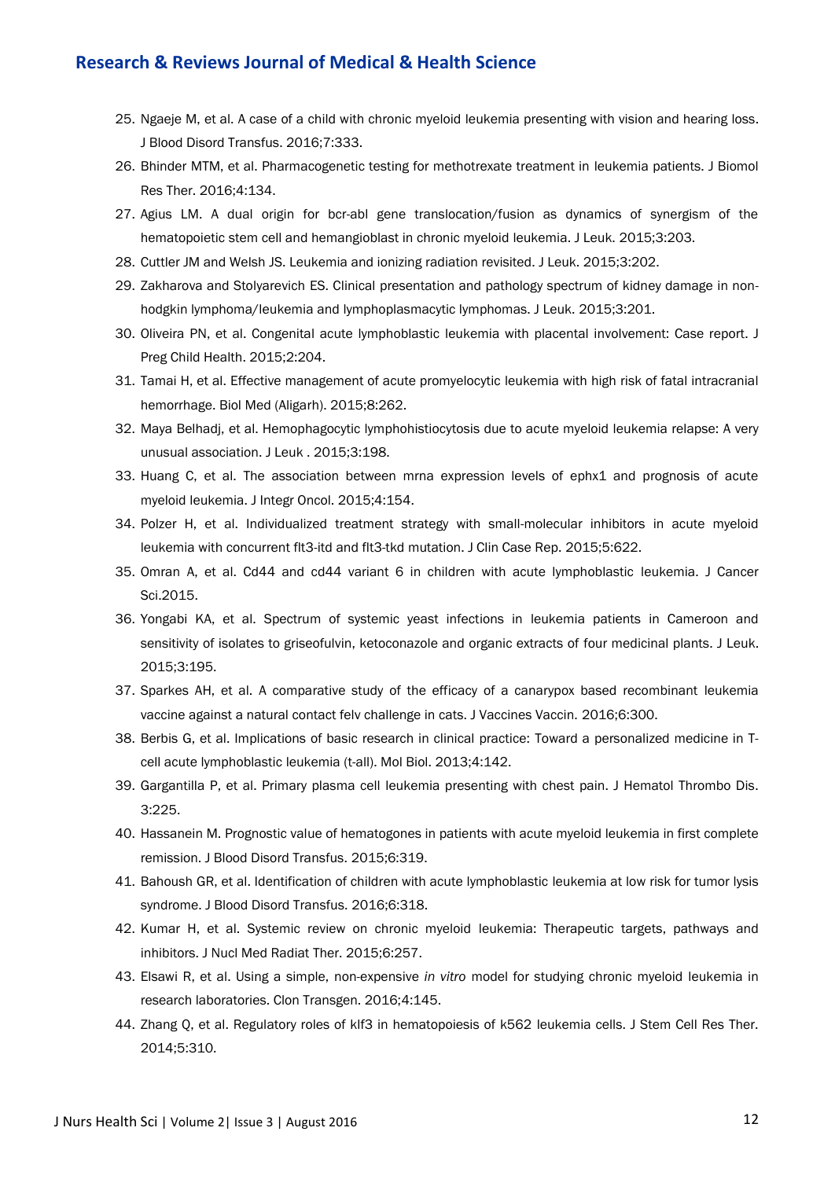- 25. Ngaeje M, et al. A case of a child with chronic myeloid leukemia presenting with vision and hearing loss. J Blood Disord Transfus. 2016;7:333.
- 26. Bhinder MTM, et al. Pharmacogenetic testing for methotrexate treatment in leukemia patients. J Biomol Res Ther. 2016;4:134.
- 27. Agius LM. A dual origin for bcr-abl gene translocation/fusion as dynamics of synergism of the hematopoietic stem cell and hemangioblast in chronic myeloid leukemia. J Leuk. 2015;3:203.
- 28. Cuttler JM and Welsh JS. Leukemia and ionizing radiation revisited. J Leuk. 2015;3:202.
- 29. Zakharova and Stolyarevich ES. Clinical presentation and pathology spectrum of kidney damage in nonhodgkin lymphoma/leukemia and lymphoplasmacytic lymphomas. J Leuk. 2015;3:201.
- 30. Oliveira PN, et al. Congenital acute lymphoblastic leukemia with placental involvement: Case report. J Preg Child Health. 2015;2:204.
- 31. Tamai H, et al. Effective management of acute promyelocytic leukemia with high risk of fatal intracranial hemorrhage. Biol Med (Aligarh). 2015;8:262.
- 32. Maya Belhadj, et al. Hemophagocytic lymphohistiocytosis due to acute myeloid leukemia relapse: A very unusual association. J Leuk . 2015;3:198.
- 33. Huang C, et al. The association between mrna expression levels of ephx1 and prognosis of acute myeloid leukemia. J Integr Oncol. 2015;4:154.
- 34. Polzer H, et al. Individualized treatment strategy with small-molecular inhibitors in acute myeloid leukemia with concurrent flt3-itd and flt3-tkd mutation. J Clin Case Rep. 2015;5:622.
- 35. Omran A, et al. Cd44 and cd44 variant 6 in children with acute lymphoblastic leukemia. J Cancer Sci.2015.
- 36. Yongabi KA, et al. Spectrum of systemic yeast infections in leukemia patients in Cameroon and sensitivity of isolates to griseofulvin, ketoconazole and organic extracts of four medicinal plants. J Leuk. 2015;3:195.
- 37. Sparkes AH, et al. A comparative study of the efficacy of a canarypox based recombinant leukemia vaccine against a natural contact felv challenge in cats. J Vaccines Vaccin. 2016;6:300.
- 38. Berbis G, et al. Implications of basic research in clinical practice: Toward a personalized medicine in Tcell acute lymphoblastic leukemia (t-all). Mol Biol. 2013;4:142.
- 39. Gargantilla P, et al. Primary plasma cell leukemia presenting with chest pain. J Hematol Thrombo Dis. 3:225.
- 40. Hassanein M. Prognostic value of hematogones in patients with acute myeloid leukemia in first complete remission. J Blood Disord Transfus. 2015;6:319.
- 41. Bahoush GR, et al. Identification of children with acute lymphoblastic leukemia at low risk for tumor lysis syndrome. J Blood Disord Transfus. 2016;6:318.
- 42. Kumar H, et al. Systemic review on chronic myeloid leukemia: Therapeutic targets, pathways and inhibitors. J Nucl Med Radiat Ther. 2015;6:257.
- 43. Elsawi R, et al. Using a simple, non-expensive *in vitro* model for studying chronic myeloid leukemia in research laboratories. Clon Transgen. 2016;4:145.
- 44. Zhang Q, et al. Regulatory roles of klf3 in hematopoiesis of k562 leukemia cells. J Stem Cell Res Ther. 2014;5:310.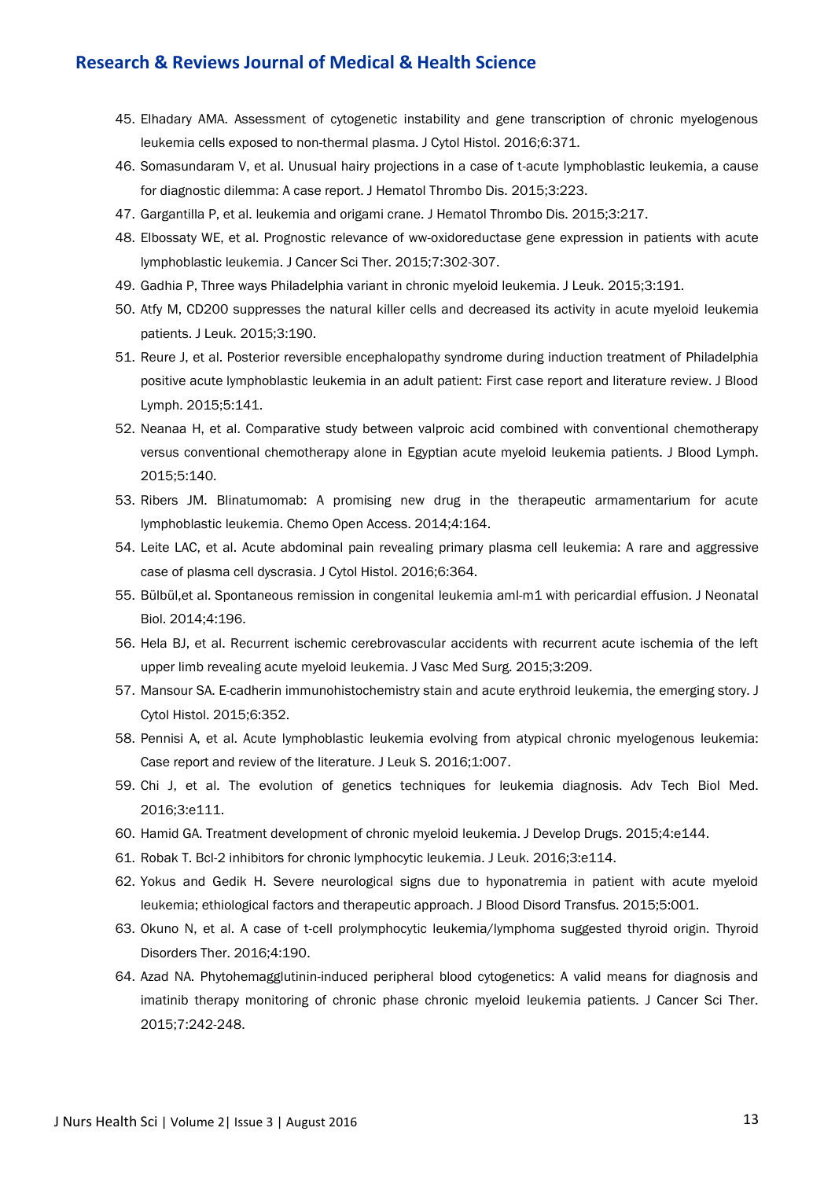- 45. Elhadary AMA. Assessment of cytogenetic instability and gene transcription of chronic myelogenous leukemia cells exposed to non-thermal plasma. J Cytol Histol. 2016;6:371.
- 46. Somasundaram V, et al. Unusual hairy projections in a case of t-acute lymphoblastic leukemia, a cause for diagnostic dilemma: A case report. J Hematol Thrombo Dis. 2015;3:223.
- 47. Gargantilla P, et al. leukemia and origami crane. J Hematol Thrombo Dis. 2015;3:217.
- 48. Elbossaty WE, et al. Prognostic relevance of ww-oxidoreductase gene expression in patients with acute lymphoblastic leukemia. J Cancer Sci Ther. 2015;7:302-307.
- 49. Gadhia P, Three ways Philadelphia variant in chronic myeloid leukemia. J Leuk. 2015;3:191.
- 50. Atfy M, CD200 suppresses the natural killer cells and decreased its activity in acute myeloid leukemia patients. J Leuk. 2015;3:190.
- 51. Reure J, et al. Posterior reversible encephalopathy syndrome during induction treatment of Philadelphia positive acute lymphoblastic leukemia in an adult patient: First case report and literature review. J Blood Lymph. 2015;5:141.
- 52. Neanaa H, et al. Comparative study between valproic acid combined with conventional chemotherapy versus conventional chemotherapy alone in Egyptian acute myeloid leukemia patients. J Blood Lymph. 2015;5:140.
- 53. Ribers JM. Blinatumomab: A promising new drug in the therapeutic armamentarium for acute lymphoblastic leukemia. Chemo Open Access. 2014;4:164.
- 54. Leite LAC, et al. Acute abdominal pain revealing primary plasma cell leukemia: A rare and aggressive case of plasma cell dyscrasia. J Cytol Histol. 2016;6:364.
- 55. Bülbül,et al. Spontaneous remission in congenital leukemia aml-m1 with pericardial effusion. J Neonatal Biol. 2014;4:196.
- 56. Hela BJ, et al. Recurrent ischemic cerebrovascular accidents with recurrent acute ischemia of the left upper limb revealing acute myeloid leukemia. J Vasc Med Surg. 2015;3:209.
- 57. Mansour SA. E-cadherin immunohistochemistry stain and acute erythroid leukemia, the emerging story. J Cytol Histol. 2015;6:352.
- 58. Pennisi A, et al. Acute lymphoblastic leukemia evolving from atypical chronic myelogenous leukemia: Case report and review of the literature. J Leuk S. 2016;1:007.
- 59. Chi J, et al. The evolution of genetics techniques for leukemia diagnosis. Adv Tech Biol Med. 2016;3:e111.
- 60. Hamid GA. Treatment development of chronic myeloid leukemia. J Develop Drugs. 2015;4:e144.
- 61. Robak T. Bcl-2 inhibitors for chronic lymphocytic leukemia. J Leuk. 2016;3:e114.
- 62. Yokus and Gedik H. Severe neurological signs due to hyponatremia in patient with acute myeloid leukemia; ethiological factors and therapeutic approach. J Blood Disord Transfus. 2015;5:001.
- 63. Okuno N, et al. A case of t-cell prolymphocytic leukemia/lymphoma suggested thyroid origin. Thyroid Disorders Ther. 2016;4:190.
- 64. Azad NA. Phytohemagglutinin-induced peripheral blood cytogenetics: A valid means for diagnosis and imatinib therapy monitoring of chronic phase chronic myeloid leukemia patients. J Cancer Sci Ther. 2015;7:242-248.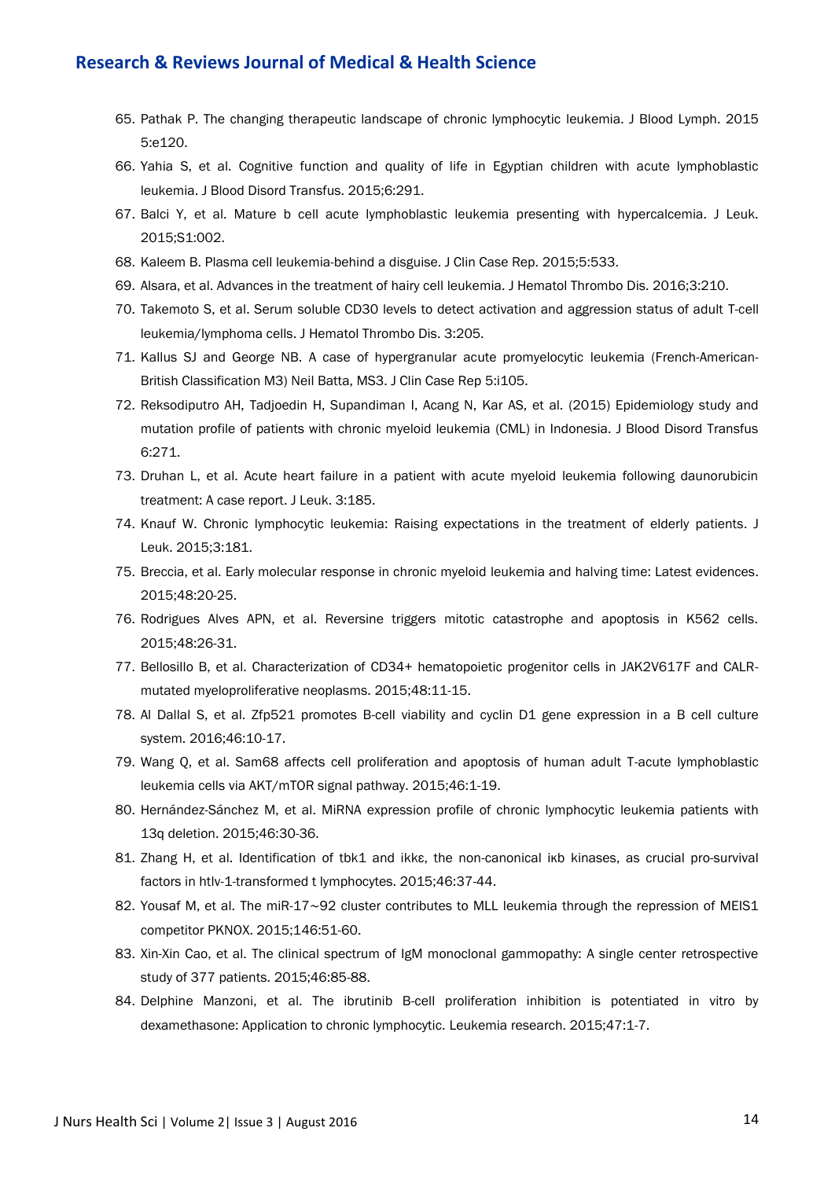- 65. Pathak P. The changing therapeutic landscape of chronic lymphocytic leukemia. J Blood Lymph. 2015 5:e120.
- 66. Yahia S, et al. Cognitive function and quality of life in Egyptian children with acute lymphoblastic leukemia. J Blood Disord Transfus. 2015;6:291.
- 67. Balci Y, et al. Mature b cell acute lymphoblastic leukemia presenting with hypercalcemia. J Leuk. 2015;S1:002.
- 68. Kaleem B. Plasma cell leukemia-behind a disguise. J Clin Case Rep. 2015;5:533.
- 69. Alsara, et al. Advances in the treatment of hairy cell leukemia. J Hematol Thrombo Dis. 2016;3:210.
- 70. Takemoto S, et al. Serum soluble CD30 levels to detect activation and aggression status of adult T-cell leukemia/lymphoma cells. J Hematol Thrombo Dis. 3:205.
- 71. Kallus SJ and George NB. A case of hypergranular acute promyelocytic leukemia (French-American-British Classification M3) Neil Batta, MS3. J Clin Case Rep 5:i105.
- 72. Reksodiputro AH, Tadjoedin H, Supandiman I, Acang N, Kar AS, et al. (2015) Epidemiology study and mutation profile of patients with chronic myeloid leukemia (CML) in Indonesia. J Blood Disord Transfus 6:271.
- 73. Druhan L, et al. Acute heart failure in a patient with acute myeloid leukemia following daunorubicin treatment: A case report. J Leuk. 3:185.
- 74. Knauf W. Chronic lymphocytic leukemia: Raising expectations in the treatment of elderly patients. J Leuk. 2015;3:181.
- 75. Breccia, et al. Early molecular response in chronic myeloid leukemia and halving time: Latest evidences. 2015;48:20-25.
- 76. Rodrigues Alves APN, et al. Reversine triggers mitotic catastrophe and apoptosis in K562 cells. 2015;48:26-31.
- 77. Bellosillo B, et al. Characterization of CD34+ hematopoietic progenitor cells in JAK2V617F and CALRmutated myeloproliferative neoplasms. 2015;48:11-15.
- 78. Al Dallal S, et al. Zfp521 promotes B-cell viability and cyclin D1 gene expression in a B cell culture system. 2016;46:10-17.
- 79. Wang Q, et al. Sam68 affects cell proliferation and apoptosis of human adult T-acute lymphoblastic leukemia cells via AKT/mTOR signal pathway. 2015;46:1-19.
- 80. Hernández-Sánchez M, et al. MiRNA expression profile of chronic lymphocytic leukemia patients with 13q deletion. 2015;46:30-36.
- 81. Zhang H, et al. Identification of tbk1 and ikkε, the non-canonical iκb kinases, as crucial pro-survival factors in htlv-1-transformed t lymphocytes. 2015;46:37-44.
- 82. Yousaf M, et al. The miR-17∼92 cluster contributes to MLL leukemia through the repression of MEIS1 competitor PKNOX. 2015;146:51-60.
- 83. Xin-Xin Cao, et al. The clinical spectrum of IgM monoclonal gammopathy: A single center retrospective study of 377 patients. 2015;46:85-88.
- 84. Delphine Manzoni, et al. The ibrutinib B-cell proliferation inhibition is potentiated in vitro by dexamethasone: Application to chronic lymphocytic. Leukemia research. 2015;47:1-7.